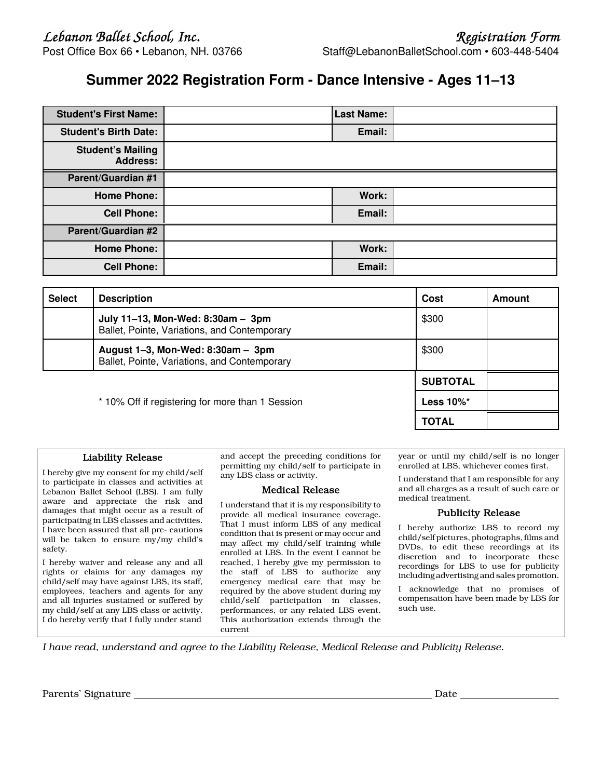# **Summer 2022 Registration Form - Dance Intensive - Ages 11–13**

| <b>Student's First Name:</b>                | <b>Last Name:</b> |  |
|---------------------------------------------|-------------------|--|
| <b>Student's Birth Date:</b>                | Email:            |  |
| <b>Student's Mailing</b><br><b>Address:</b> |                   |  |
| <b>Parent/Guardian #1</b>                   |                   |  |
| <b>Home Phone:</b>                          | Work:             |  |
| <b>Cell Phone:</b>                          | Email:            |  |
| <b>Parent/Guardian #2</b>                   |                   |  |
| <b>Home Phone:</b>                          | Work:             |  |
| <b>Cell Phone:</b>                          | Email:            |  |

| <b>Select</b> | <b>Description</b>                                                                        | Cost            | Amount |
|---------------|-------------------------------------------------------------------------------------------|-----------------|--------|
|               | July 11-13, Mon-Wed: 8:30am - 3pm<br>Ballet, Pointe, Variations, and Contemporary         | \$300           |        |
|               | August $1-3$ , Mon-Wed: $8:30$ am $-3$ pm<br>Ballet, Pointe, Variations, and Contemporary | \$300           |        |
|               |                                                                                           | <b>SUBTOTAL</b> |        |
|               | * 10% Off if registering for more than 1 Session                                          | Less $10\%$ *   |        |
|               |                                                                                           | <b>TOTAL</b>    |        |

## Liability Release

I hereby give my consent for my child/self to participate in classes and activities at Lebanon Ballet School (LBS). I am fully aware and appreciate the risk and damages that might occur as a result of participating in LBS classes and activities. I have been assured that all pre- cautions will be taken to ensure my/my child's safety.

I hereby waiver and release any and all rights or claims for any damages my child/self may have against LBS, its staff, employees, teachers and agents for any and all injuries sustained or suffered by my child/self at any LBS class or activity. I do hereby verify that I fully under stand

and accept the preceding conditions for permitting my child/self to participate in any LBS class or activity.

## Medical Release

I understand that it is my responsibility to provide all medical insurance coverage. That I must inform LBS of any medical condition that is present or may occur and may affect my child/self training while enrolled at LBS. In the event I cannot be reached, I hereby give my permission to the staff of LBS to authorize any emergency medical care that may be required by the above student during my child/self participation in classes, performances, or any related LBS event. This authorization extends through the current

year or until my child/self is no longer enrolled at LBS, whichever comes first.

I understand that I am responsible for any and all charges as a result of such care or medical treatment.

### Publicity Release

I hereby authorize LBS to record my child/self pictures, photographs, films and DVDs, to edit these recordings at its discretion and to incorporate these recordings for LBS to use for publicity including advertising and sales promotion.

I acknowledge that no promises of compensation have been made by LBS for such use.

*I have read, understand and agree to the Liability Release, Medical Release and Publicity Release.*

Parents' Signature Date Date of the Date of the Date of the Date of the Date of the Date of the Date of the Date of the Date of the Date of the Date of the Date of the Date of the Date of the Date of the Date of the Date o